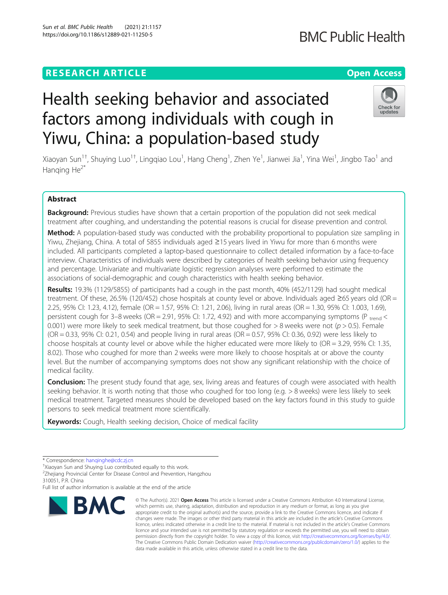## **RESEARCH ARTICLE Example 2014 12:30 The Contract of Contract ACCESS**

# Health seeking behavior and associated factors among individuals with cough in Yiwu, China: a population-based study

Xiaoyan Sun<sup>1†</sup>, Shuying Luo<sup>1†</sup>, Lingqiao Lou<sup>1</sup>, Hang Cheng<sup>1</sup>, Zhen Ye<sup>1</sup>, Jianwei Jia<sup>1</sup>, Yina Wei<sup>1</sup>, Jingbo Tao<sup>1</sup> and Hanging  $He^{2*}$ 

## Abstract

Background: Previous studies have shown that a certain proportion of the population did not seek medical treatment after coughing, and understanding the potential reasons is crucial for disease prevention and control.

Method: A population-based study was conducted with the probability proportional to population size sampling in Yiwu, Zhejiang, China. A total of 5855 individuals aged ≥15 years lived in Yiwu for more than 6 months were included. All participants completed a laptop-based questionnaire to collect detailed information by a face-to-face interview. Characteristics of individuals were described by categories of health seeking behavior using frequency and percentage. Univariate and multivariate logistic regression analyses were performed to estimate the associations of social-demographic and cough characteristics with health seeking behavior.

Results: 19.3% (1129/5855) of participants had a cough in the past month, 40% (452/1129) had sought medical treatment. Of these, 26.5% (120/452) chose hospitals at county level or above. Individuals aged ≥65 years old (OR = 2.25, 95% CI: 1.23, 4.12), female (OR = 1.57, 95% CI: 1.21, 2.06), living in rural areas (OR = 1.30, 95% CI: 1.003, 1.69), persistent cough for 3–8 weeks (OR = 2.91, 95% CI: 1.72, 4.92) and with more accompanying symptoms (P trend  $\leq$ 0.001) were more likely to seek medical treatment, but those coughed for  $> 8$  weeks were not ( $p > 0.5$ ). Female  $(OR = 0.33, 95\% \text{ Cl}: 0.21, 0.54)$  and people living in rural areas  $(OR = 0.57, 95\% \text{ Cl}: 0.36, 0.92)$  were less likely to choose hospitals at county level or above while the higher educated were more likely to (OR = 3.29, 95% CI: 1.35, 8.02). Those who coughed for more than 2 weeks were more likely to choose hospitals at or above the county level. But the number of accompanying symptoms does not show any significant relationship with the choice of medical facility.

**Conclusion:** The present study found that age, sex, living areas and features of cough were associated with health seeking behavior. It is worth noting that those who coughed for too long (e.g. > 8 weeks) were less likely to seek medical treatment. Targeted measures should be developed based on the key factors found in this study to guide persons to seek medical treatment more scientifically.

Keywords: Cough, Health seeking decision, Choice of medical facility

Full list of author information is available at the end of the article





<sup>\*</sup> Correspondence: [hanqinghe@cdc.zj.cn](mailto:hanqinghe@cdc.zj.cn) †

<sup>&</sup>lt;sup>†</sup>Xiaoyan Sun and Shuying Luo contributed equally to this work.

<sup>&</sup>lt;sup>2</sup>Zhejiang Provincial Center for Disease Control and Prevention, Hangzhou 310051, P.R. China

**BMC** 

<sup>©</sup> The Author(s), 2021 **Open Access** This article is licensed under a Creative Commons Attribution 4.0 International License, which permits use, sharing, adaptation, distribution and reproduction in any medium or format, as long as you give appropriate credit to the original author(s) and the source, provide a link to the Creative Commons licence, and indicate if changes were made. The images or other third party material in this article are included in the article's Creative Commons licence, unless indicated otherwise in a credit line to the material. If material is not included in the article's Creative Commons licence and your intended use is not permitted by statutory regulation or exceeds the permitted use, you will need to obtain permission directly from the copyright holder. To view a copy of this licence, visit [http://creativecommons.org/licenses/by/4.0/.](http://creativecommons.org/licenses/by/4.0/) The Creative Commons Public Domain Dedication waiver [\(http://creativecommons.org/publicdomain/zero/1.0/](http://creativecommons.org/publicdomain/zero/1.0/)) applies to the data made available in this article, unless otherwise stated in a credit line to the data.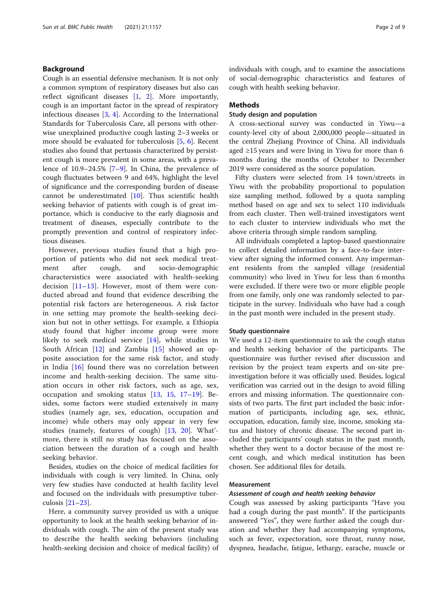## Background

Cough is an essential defensive mechanism. It is not only a common symptom of respiratory diseases but also can reflect significant diseases [\[1](#page-7-0), [2](#page-8-0)]. More importantly, cough is an important factor in the spread of respiratory infectious diseases [[3,](#page-8-0) [4](#page-8-0)]. According to the International Standards for Tuberculosis Care, all persons with otherwise unexplained productive cough lasting 2–3 weeks or more should be evaluated for tuberculosis [\[5](#page-8-0), [6\]](#page-8-0). Recent studies also found that pertussis characterized by persistent cough is more prevalent in some areas, with a prevalence of 10.9–24.5% [\[7](#page-8-0)–[9](#page-8-0)]. In China, the prevalence of cough fluctuates between 9 and 64%, highlight the level of significance and the corresponding burden of disease cannot be underestimated [[10\]](#page-8-0). Thus scientific health seeking behavior of patients with cough is of great importance, which is conducive to the early diagnosis and treatment of diseases, especially contribute to the promptly prevention and control of respiratory infectious diseases.

However, previous studies found that a high proportion of patients who did not seek medical treatment after cough, and socio-demographic charactersistics were associated with health-seeking decision  $[11-13]$  $[11-13]$  $[11-13]$  $[11-13]$ . However, most of them were conducted abroad and found that evidence describing the potential risk factors are heterogeneous. A risk factor in one setting may promote the health-seeking decision but not in other settings. For example, a Ethiopia study found that higher income group were more likely to seek medical service [\[14](#page-8-0)], while studies in South African [\[12](#page-8-0)] and Zambia [[15\]](#page-8-0) showed an opposite association for the same risk factor, and study in India [\[16\]](#page-8-0) found there was no correlation between income and health-seeking decision. The same situation occurs in other risk factors, such as age, sex, occupation and smoking status [\[13,](#page-8-0) [15](#page-8-0), [17](#page-8-0)–[19](#page-8-0)]. Besides, some factors were studied extensively in many studies (namely age, sex, education, occupation and income) while others may only appear in very few studies (namely, features of cough) [\[13](#page-8-0), [20](#page-8-0)]. What' more, there is still no study has focused on the association between the duration of a cough and health seeking behavior.

Besides, studies on the choice of medical facilities for individuals with cough is very limited. In China, only very few studies have conducted at health facility level and focused on the individuals with presumptive tuberculosis [\[21](#page-8-0)–[23\]](#page-8-0).

Here, a community survey provided us with a unique opportunity to look at the health seeking behavior of individuals with cough. The aim of the present study was to describe the health seeking behaviors (including health-seeking decision and choice of medical facility) of individuals with cough, and to examine the associations of social-demographic characteristics and features of cough with health seeking behavior.

## Methods

## Study design and population

A cross-sectional survey was conducted in Yiwu—a county-level city of about 2,000,000 people—situated in the central Zhejiang Province of China. All individuals aged ≥15 years and were living in Yiwu for more than 6 months during the months of October to December 2019 were considered as the source population.

Fifty clusters were selected from 14 town/streets in Yiwu with the probability proportional to population size sampling method, followed by a quota sampling method based on age and sex to select 110 individuals from each cluster. Then well-trained investigators went to each cluster to interview individuals who met the above criteria through simple random sampling.

All individuals completed a laptop-based questionnaire to collect detailed information by a face-to-face interview after signing the informed consent. Any impermanent residents from the sampled village (residential community) who lived in Yiwu for less than 6 months were excluded. If there were two or more eligible people from one family, only one was randomly selected to participate in the survey. Individuals who have had a cough in the past month were included in the present study.

#### Study questionnaire

We used a 12-item questionnaire to ask the cough status and health seeking behavior of the participants. The questionnaire was further revised after discussion and revision by the project team experts and on-site preinvestigation before it was officially used. Besides, logical verification was carried out in the design to avoid filling errors and missing information. The questionnaire consists of two parts. The first part included the basic information of participants, including age, sex, ethnic, occupation, education, family size, income, smoking status and history of chronic disease. The second part included the participants' cough status in the past month, whether they went to a doctor because of the most recent cough, and which medical institution has been chosen. See additional files for details.

#### Measurement

#### Assessment of cough and health seeking behavior

Cough was assessed by asking participants "Have you had a cough during the past month". If the participants answered "Yes", they were further asked the cough duration and whether they had accompanying symptoms, such as fever, expectoration, sore throat, runny nose, dyspnea, headache, fatigue, lethargy, earache, muscle or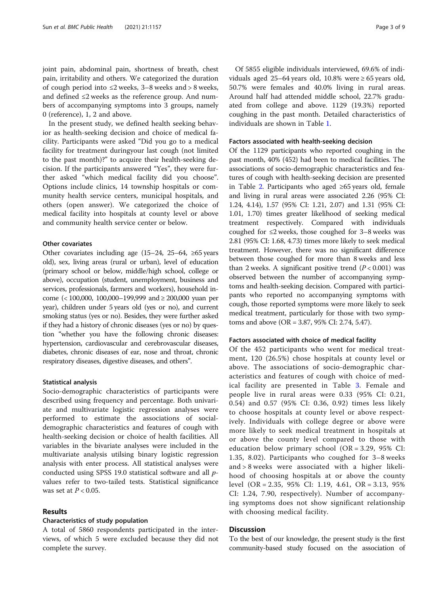joint pain, abdominal pain, shortness of breath, chest pain, irritability and others. We categorized the duration of cough period into ≤2 weeks, 3–8 weeks and > 8 weeks, and defined ≤2 weeks as the reference group. And numbers of accompanying symptoms into 3 groups, namely 0 (reference), 1, 2 and above.

In the present study, we defined health seeking behavior as health-seeking decision and choice of medical facility. Participants were asked "Did you go to a medical facility for treatment duringyour last cough (not limited to the past month)?" to acquire their health-seeking decision. If the participants answered "Yes", they were further asked "which medical facility did you choose". Options include clinics, 14 township hospitals or community health service centers, municipal hospitals, and others (open answer). We categorized the choice of medical facility into hospitals at county level or above and community health service center or below.

#### Other covariates

Other covariates including age (15–24, 25–64, ≥65 years old), sex, living areas (rural or urban), level of education (primary school or below, middle/high school, college or above), occupation (student, unemployment, business and services, professionals, farmers and workers), household income (< 100,000, 100,000–199,999 and ≥ 200,000 yuan per year), children under 5 years old (yes or no), and current smoking status (yes or no). Besides, they were further asked if they had a history of chronic diseases (yes or no) by question "whether you have the following chronic diseases: hypertension, cardiovascular and cerebrovascular diseases, diabetes, chronic diseases of ear, nose and throat, chronic respiratory diseases, digestive diseases, and others".

#### Statistical analysis

Socio-demographic characteristics of participants were described using frequency and percentage. Both univariate and multivariate logistic regression analyses were performed to estimate the associations of socialdemographic characteristics and features of cough with health-seeking decision or choice of health facilities. All variables in the bivariate analyses were included in the multivariate analysis utilsing binary logistic regression analysis with enter process. All statistical analyses were conducted using SPSS 19.0 statistical software and all pvalues refer to two-tailed tests. Statistical significance was set at  $P < 0.05$ .

## Results

#### Characteristics of study population

A total of 5860 respondents participated in the interviews, of which 5 were excluded because they did not complete the survey.

Of 5855 eligible individuals interviewed, 69.6% of individuals aged 25–64 years old, 10.8% were  $\geq$  65 years old, 50.7% were females and 40.0% living in rural areas. Around half had attended middle school, 22.7% graduated from college and above. 1129 (19.3%) reported coughing in the past month. Detailed characteristics of individuals are shown in Table [1](#page-3-0).

#### Factors associated with health-seeking decision

Of the 1129 participants who reported coughing in the past month, 40% (452) had been to medical facilities. The associations of socio-demographic characteristics and features of cough with health-seeking decision are presented in Table [2.](#page-4-0) Participants who aged ≥65 years old, female and living in rural areas were associated 2.26 (95% CI: 1.24, 4.14), 1.57 (95% CI: 1.21, 2.07) and 1.31 (95% CI: 1.01, 1.70) times greater likelihood of seeking medical treatment respectively. Compared with individuals coughed for  $\leq$ 2 weeks, those coughed for 3–8 weeks was 2.81 (95% CI: 1.68, 4.73) times more likely to seek medical treatment. However, there was no significant difference between those coughed for more than 8 weeks and less than 2 weeks. A significant positive trend  $(P < 0.001)$  was observed between the number of accompanying symptoms and health-seeking decision. Compared with participants who reported no accompanying symptoms with cough, those reported symptoms were more likely to seek medical treatment, particularly for those with two symptoms and above (OR = 3.87, 95% CI: 2.74, 5.47).

#### Factors associated with choice of medical facility

Of the 452 participants who went for medical treatment, 120 (26.5%) chose hospitals at county level or above. The associations of socio-demographic characteristics and features of cough with choice of medical facility are presented in Table [3.](#page-5-0) Female and people live in rural areas were 0.33 (95% CI: 0.21, 0.54) and 0.57 (95% CI: 0.36, 0.92) times less likely to choose hospitals at county level or above respectively. Individuals with college degree or above were more likely to seek medical treatment in hospitals at or above the county level compared to those with education below primary school (OR = 3.29, 95% CI: 1.35, 8.02). Participants who coughed for 3–8 weeks and > 8 weeks were associated with a higher likelihood of choosing hospitals at or above the county level (OR = 2.35, 95% CI: 1.19, 4.61, OR = 3.13, 95% CI: 1.24, 7.90, respectively). Number of accompanying symptoms does not show significant relationship with choosing medical facility.

## **Discussion**

To the best of our knowledge, the present study is the first community-based study focused on the association of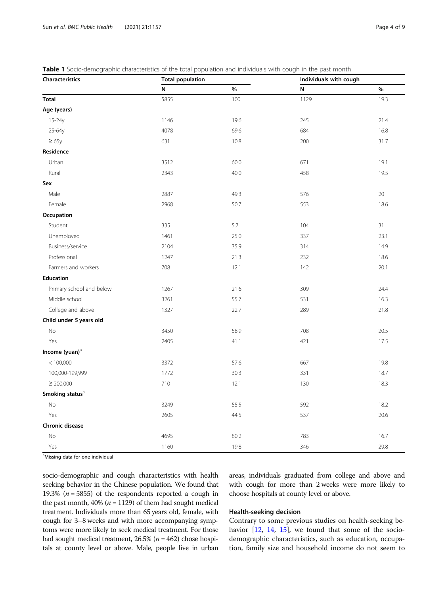| Characteristics             | <b>Total population</b> |      | Individuals with cough |      |  |
|-----------------------------|-------------------------|------|------------------------|------|--|
|                             | N                       | $\%$ | N                      | $\%$ |  |
| <b>Total</b>                | 5855                    | 100  | 1129                   | 19.3 |  |
| Age (years)                 |                         |      |                        |      |  |
| 15-24y                      | 1146                    | 19.6 | 245                    | 21.4 |  |
| 25-64y                      | 4078                    | 69.6 | 684                    | 16.8 |  |
| $\geq 65y$                  | 631                     | 10.8 | 200                    | 31.7 |  |
| Residence                   |                         |      |                        |      |  |
| Urban                       | 3512                    | 60.0 | 671                    | 19.1 |  |
| Rural                       | 2343                    | 40.0 | 458                    | 19.5 |  |
| Sex                         |                         |      |                        |      |  |
| Male                        | 2887                    | 49.3 | 576                    | 20   |  |
| Female                      | 2968                    | 50.7 | 553                    | 18.6 |  |
| Occupation                  |                         |      |                        |      |  |
| Student                     | 335                     | 5.7  | 104                    | 31   |  |
| Unemployed                  | 1461                    | 25.0 | 337                    | 23.1 |  |
| Business/service            | 2104                    | 35.9 | 314                    | 14.9 |  |
| Professional                | 1247                    | 21.3 | 232                    | 18.6 |  |
| Farmers and workers         | 708                     | 12.1 | 142                    | 20.1 |  |
| <b>Education</b>            |                         |      |                        |      |  |
| Primary school and below    | 1267                    | 21.6 | 309                    | 24.4 |  |
| Middle school               | 3261                    | 55.7 | 531                    | 16.3 |  |
| College and above           | 1327                    | 22.7 | 289                    | 21.8 |  |
| Child under 5 years old     |                         |      |                        |      |  |
| No                          | 3450                    | 58.9 | 708                    | 20.5 |  |
| Yes                         | 2405                    | 41.1 | 421                    | 17.5 |  |
| Income (yuan) <sup>a</sup>  |                         |      |                        |      |  |
| < 100,000                   | 3372                    | 57.6 | 667                    | 19.8 |  |
| 100,000-199,999             | 1772                    | 30.3 | 331                    | 18.7 |  |
| $\geq 200,000$              | 710                     | 12.1 | 130                    | 18.3 |  |
| Smoking status <sup>a</sup> |                         |      |                        |      |  |
| No                          | 3249                    | 55.5 | 592                    | 18.2 |  |
| Yes                         | 2605                    | 44.5 | 537                    | 20.6 |  |
| Chronic disease             |                         |      |                        |      |  |
| No                          | 4695                    | 80.2 | 783                    | 16.7 |  |
| Yes                         | 1160                    | 19.8 | 346                    | 29.8 |  |

<span id="page-3-0"></span>Table 1 Socio-demographic characteristics of the total population and individuals with cough in the past month

<sup>a</sup>Missing data for one individual

socio-demographic and cough characteristics with health seeking behavior in the Chinese population. We found that 19.3% ( $n = 5855$ ) of the respondents reported a cough in the past month, 40% ( $n = 1129$ ) of them had sought medical treatment. Individuals more than 65 years old, female, with cough for 3–8 weeks and with more accompanying symptoms were more likely to seek medical treatment. For those had sought medical treatment,  $26.5\%$  ( $n = 462$ ) chose hospitals at county level or above. Male, people live in urban areas, individuals graduated from college and above and with cough for more than 2 weeks were more likely to choose hospitals at county level or above.

#### Health-seeking decision

Contrary to some previous studies on health-seeking be-havior [\[12](#page-8-0), [14,](#page-8-0) [15\]](#page-8-0), we found that some of the sociodemographic characteristics, such as education, occupation, family size and household income do not seem to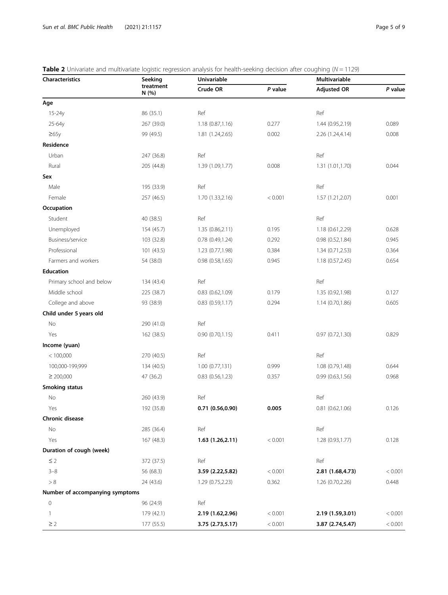| <b>Characteristics</b>          | Seeking            | <b>Univariable</b>    | s of manate and materialite rogistic regression analysis for nearer sections accision area coagrinity (i.e. |                    | $\cdot$ $\cdot$ $\sim$ $\cdot$ $\cdot$<br>Multivariable |  |  |
|---------------------------------|--------------------|-----------------------|-------------------------------------------------------------------------------------------------------------|--------------------|---------------------------------------------------------|--|--|
|                                 | treatment<br>N(% ) | Crude OR              | P value                                                                                                     | <b>Adjusted OR</b> | P value                                                 |  |  |
| Age                             |                    |                       |                                                                                                             |                    |                                                         |  |  |
| 15-24y                          | 86 (35.1)          | Ref                   |                                                                                                             | Ref                |                                                         |  |  |
| 25-64y                          | 267 (39.0)         | 1.18 (0.87,1.16)      | 0.277                                                                                                       | 1.44 (0.95,2.19)   | 0.089                                                   |  |  |
| $\geq 65y$                      | 99 (49.5)          | 1.81 (1.24,2.65)      | 0.002                                                                                                       | 2.26 (1.24,4.14)   | 0.008                                                   |  |  |
| Residence                       |                    |                       |                                                                                                             |                    |                                                         |  |  |
| Urban                           | 247 (36.8)         | Ref                   |                                                                                                             | Ref                |                                                         |  |  |
| Rural                           | 205 (44.8)         | 1.39 (1.09,1.77)      | 0.008                                                                                                       | 1.31 (1.01,1.70)   | 0.044                                                   |  |  |
| Sex                             |                    |                       |                                                                                                             |                    |                                                         |  |  |
| Male                            | 195 (33.9)         | Ref                   |                                                                                                             | Ref                |                                                         |  |  |
| Female                          | 257 (46.5)         | 1.70 (1.33,2.16)      | < 0.001                                                                                                     | 1.57 (1.21, 2.07)  | 0.001                                                   |  |  |
| Occupation                      |                    |                       |                                                                                                             |                    |                                                         |  |  |
| Student                         | 40 (38.5)          | Ref                   |                                                                                                             | Ref                |                                                         |  |  |
| Unemployed                      | 154 (45.7)         | 1.35 (0.86,2.11)      | 0.195                                                                                                       | 1.18 (0.61,2.29)   | 0.628                                                   |  |  |
| Business/service                | 103 (32.8)         | 0.78(0.49, 1.24)      | 0.292                                                                                                       | 0.98 (0.52,1.84)   | 0.945                                                   |  |  |
| Professional                    | 101 (43.5)         | 1.23 (0.77,1.98)      | 0.384                                                                                                       | 1.34(0.71, 2.53)   | 0.364                                                   |  |  |
| Farmers and workers             | 54 (38.0)          | 0.98(0.58, 1.65)      | 0.945                                                                                                       | 1.18(0.57, 2.45)   | 0.654                                                   |  |  |
| <b>Education</b>                |                    |                       |                                                                                                             |                    |                                                         |  |  |
| Primary school and below        | 134 (43.4)         | Ref                   |                                                                                                             | Ref                |                                                         |  |  |
| Middle school                   | 225 (38.7)         | $0.83$ $(0.62, 1.09)$ | 0.179                                                                                                       | 1.35 (0.92,1.98)   | 0.127                                                   |  |  |
| College and above               | 93 (38.9)          | 0.83(0.59,1.17)       | 0.294                                                                                                       | 1.14 (0.70,1.86)   | 0.605                                                   |  |  |
| Child under 5 years old         |                    |                       |                                                                                                             |                    |                                                         |  |  |
| No                              | 290 (41.0)         | Ref                   |                                                                                                             |                    |                                                         |  |  |
| Yes                             | 162 (38.5)         | 0.90(0.70, 1.15)      | 0.411                                                                                                       | 0.97(0.72, 1.30)   | 0.829                                                   |  |  |
| Income (yuan)                   |                    |                       |                                                                                                             |                    |                                                         |  |  |
| < 100,000                       | 270 (40.5)         | Ref                   |                                                                                                             | Ref                |                                                         |  |  |
| 100,000-199,999                 | 134 (40.5)         | 1.00 (0.77,131)       | 0.999                                                                                                       | 1.08 (0.79,1.48)   | 0.644                                                   |  |  |
| $\geq 200,000$                  | 47 (36.2)          | 0.83(0.56, 1.23)      | 0.357                                                                                                       | 0.99(0.63, 1.56)   | 0.968                                                   |  |  |
| <b>Smoking status</b>           |                    |                       |                                                                                                             |                    |                                                         |  |  |
| No                              | 260 (43.9)         | Ref                   |                                                                                                             | Ref                |                                                         |  |  |
| Yes                             | 192 (35.8)         | 0.71 (0.56,0.90)      | 0.005                                                                                                       | 0.81(0.62,1.06)    | 0.126                                                   |  |  |
| Chronic disease                 |                    |                       |                                                                                                             |                    |                                                         |  |  |
| No                              | 285 (36.4)         | Ref                   |                                                                                                             | Ref                |                                                         |  |  |
| Yes                             | 167 (48.3)         | 1.63(1.26, 2.11)      | < 0.001                                                                                                     | 1.28 (0.93,1.77)   | 0.128                                                   |  |  |
| Duration of cough (week)        |                    |                       |                                                                                                             |                    |                                                         |  |  |
| $\leq$ 2                        | 372 (37.5)         | Ref                   |                                                                                                             | Ref                |                                                         |  |  |
| $3 - 8$                         | 56 (68.3)          | 3.59 (2.22,5.82)      | < 0.001                                                                                                     | 2.81 (1.68,4.73)   | < 0.001                                                 |  |  |
| $> 8$                           | 24 (43.6)          | 1.29 (0.75,2.23)      | 0.362                                                                                                       | 1.26 (0.70,2.26)   | 0.448                                                   |  |  |
| Number of accompanying symptoms |                    |                       |                                                                                                             |                    |                                                         |  |  |
| $\circ$                         | 96 (24.9)          | Ref                   |                                                                                                             |                    |                                                         |  |  |
| 1                               | 179 (42.1)         | 2.19 (1.62,2.96)      | < 0.001                                                                                                     | 2.19 (1.59,3.01)   | < 0.001                                                 |  |  |
| $\geq$ 2                        | 177 (55.5)         | 3.75 (2.73,5.17)      | < 0.001                                                                                                     | 3.87 (2.74,5.47)   | < 0.001                                                 |  |  |

## <span id="page-4-0"></span>**Table 2** Univariate and multivariate logistic regression analysis for health-seeking decision after coughing ( $N = 1129$ )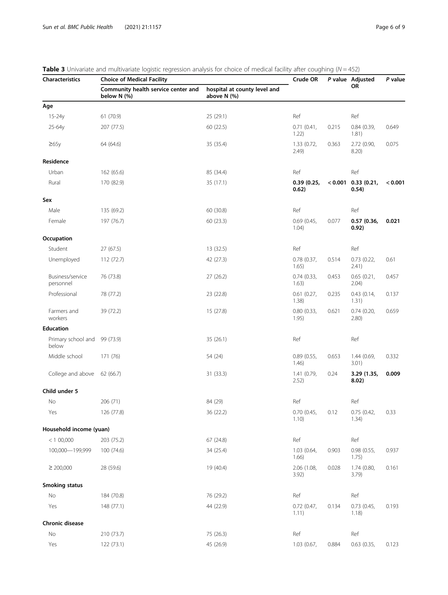| <b>Characteristics</b>                | <b>The S</b> crimanate and materialide logistic regression analysis for enotee of medical lacinty arter coagrinity (iv<br><b>Choice of Medical Facility</b> | Crude OR                                    |                        | P value Adjusted | P value                        |         |
|---------------------------------------|-------------------------------------------------------------------------------------------------------------------------------------------------------------|---------------------------------------------|------------------------|------------------|--------------------------------|---------|
|                                       | Community health service center and<br>below N (%)                                                                                                          | hospital at county level and<br>above N (%) |                        |                  | <b>OR</b>                      |         |
| Age                                   |                                                                                                                                                             |                                             |                        |                  |                                |         |
| 15-24y                                | 61 (70.9)                                                                                                                                                   | 25 (29.1)                                   | Ref                    |                  | Ref                            |         |
| 25-64y                                | 207 (77.5)                                                                                                                                                  | 60 (22.5)                                   | 0.71(0.41,<br>1.22)    | 0.215            | 0.84(0.39,<br>1.81)            | 0.649   |
| $\geq 65y$                            | 64 (64.6)                                                                                                                                                   | 35 (35.4)                                   | 1.33(0.72,<br>2.49)    | 0.363            | 2.72 (0.90,<br>8.20)           | 0.075   |
| Residence                             |                                                                                                                                                             |                                             |                        |                  |                                |         |
| Urban                                 | 162 (65.6)                                                                                                                                                  | 85 (34.4)                                   | Ref                    |                  | Ref                            |         |
| Rural                                 | 170 (82.9)                                                                                                                                                  | 35 (17.1)                                   | 0.39(0.25,<br>0.62)    |                  | $< 0.001$ 0.33 (0.21,<br>0.54) | < 0.001 |
| Sex                                   |                                                                                                                                                             |                                             |                        |                  |                                |         |
| Male                                  | 135 (69.2)                                                                                                                                                  | 60 (30.8)                                   | Ref                    |                  | Ref                            |         |
| Female                                | 197 (76.7)                                                                                                                                                  | 60(23.3)                                    | 0.69(0.45,<br>1.04)    | 0.077            | 0.57(0.36,<br>0.92)            | 0.021   |
| Occupation                            |                                                                                                                                                             |                                             |                        |                  |                                |         |
| Student                               | 27(67.5)                                                                                                                                                    | 13 (32.5)                                   | Ref                    |                  | Ref                            |         |
| Unemployed                            | 112 (72.7)                                                                                                                                                  | 42 (27.3)                                   | 0.78(0.37,<br>1.65)    | 0.514            | 0.73(0.22,<br>2.41)            | 0.61    |
| Business/service<br>personnel         | 76 (73.8)                                                                                                                                                   | 27 (26.2)                                   | 0.74(0.33,<br>1.63)    | 0.453            | 0.65(0.21,<br>2.04)            | 0.457   |
| Professional                          | 78 (77.2)                                                                                                                                                   | 23 (22.8)                                   | 0.61(0.27,<br>1.38)    | 0.235            | 0.43(0.14,<br>1.31)            | 0.137   |
| Farmers and<br>workers                | 39 (72.2)                                                                                                                                                   | 15 (27.8)                                   | 0.80(0.33,<br>1.95)    | 0.621            | 0.74(0.20,<br>2.80)            | 0.659   |
| <b>Education</b>                      |                                                                                                                                                             |                                             |                        |                  |                                |         |
| Primary school and 99 (73.9)<br>below |                                                                                                                                                             | 35 (26.1)                                   | Ref                    |                  | Ref                            |         |
| Middle school                         | 171 (76)                                                                                                                                                    | 54 (24)                                     | 0.89(0.55,<br>1.46)    | 0.653            | 1.44 (0.69,<br>3.01)           | 0.332   |
| College and above                     | 62 (66.7)                                                                                                                                                   | 31 (33.3)                                   | 1.41 (0.79,<br>2.52)   | 0.24             | 3.29 (1.35,<br>8.02)           | 0.009   |
| Child under 5                         |                                                                                                                                                             |                                             |                        |                  |                                |         |
| No                                    | 206 (71)                                                                                                                                                    | 84 (29)                                     | Ref                    |                  | Ref                            |         |
| Yes                                   | 126 (77.8)                                                                                                                                                  | 36 (22.2)                                   | 0.70(0.45,<br>1.10)    | 0.12             | 0.75(0.42,<br>1.34)            | 0.33    |
| Household income (yuan)               |                                                                                                                                                             |                                             |                        |                  |                                |         |
| < 100,000                             | 203 (75.2)                                                                                                                                                  | 67(24.8)                                    | Ref                    |                  | Ref                            |         |
| 100,000-199,999                       | 100 (74.6)                                                                                                                                                  | 34 (25.4)                                   | 1.03(0.64,<br>1.66)    | 0.903            | 0.98(0.55,<br>1.75)            | 0.937   |
| $\geq$ 200,000                        | 28 (59.6)                                                                                                                                                   | 19 (40.4)                                   | 2.06 (1.08,<br>3.92)   | 0.028            | 1.74 (0.80,<br>3.79            | 0.161   |
| Smoking status                        |                                                                                                                                                             |                                             |                        |                  |                                |         |
| No                                    | 184 (70.8)                                                                                                                                                  | 76 (29.2)                                   | Ref                    |                  | Ref                            |         |
| Yes                                   | 148 (77.1)                                                                                                                                                  | 44 (22.9)                                   | $0.72$ (0.47,<br>1.11) | 0.134            | 0.73(0.45,<br>1.18)            | 0.193   |
| Chronic disease                       |                                                                                                                                                             |                                             |                        |                  |                                |         |
| No                                    | 210 (73.7)                                                                                                                                                  | 75 (26.3)                                   | Ref                    |                  | Ref                            |         |
| Yes                                   | 122 (73.1)                                                                                                                                                  | 45 (26.9)                                   | 1.03 (0.67,            | 0.884            | 0.63(0.35,                     | 0.123   |

<span id="page-5-0"></span>

|  |  | <b>Table 3</b> Univariate and multivariate logistic regression analysis for choice of medical facility after coughing ( $N = 452$ ) |
|--|--|-------------------------------------------------------------------------------------------------------------------------------------|
|  |  |                                                                                                                                     |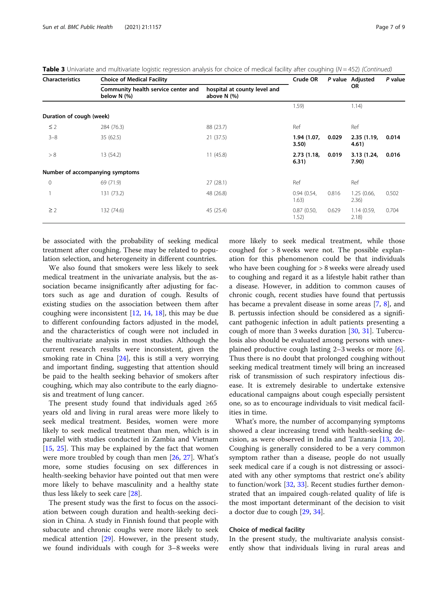| <b>Characteristics</b>   | <b>Choice of Medical Facility</b>                       | Crude OR                                    |                      | P value Adjusted | P value              |       |
|--------------------------|---------------------------------------------------------|---------------------------------------------|----------------------|------------------|----------------------|-------|
|                          | Community health service center and<br>below $N$ $(\%)$ | hospital at county level and<br>above N (%) |                      |                  | <b>OR</b>            |       |
|                          |                                                         |                                             | 1.59)                |                  | 1.14)                |       |
| Duration of cough (week) |                                                         |                                             |                      |                  |                      |       |
| $\leq$ 2                 | 284 (76.3)                                              | 88 (23.7)                                   | Ref                  |                  | Ref                  |       |
| $3 - 8$                  | 35(62.5)                                                | 21(37.5)                                    | 1.94 (1.07,<br>3.50) | 0.029            | 2.35(1.19,<br>4.61)  | 0.014 |
| > 8                      | 13 (54.2)                                               | 11(45.8)                                    | 2.73(1.18,<br>6.31)  | 0.019            | 3.13 (1.24,<br>7.90) | 0.016 |
|                          | Number of accompanying symptoms                         |                                             |                      |                  |                      |       |
| $\mathbf 0$              | 69 (71.9)                                               | 27(28.1)                                    | Ref                  |                  | Ref                  |       |
|                          | 131 (73.2)                                              | 48 (26.8)                                   | 0.94(0.54,<br>1.63)  | 0.816            | 1.25(0.66,<br>2.36)  | 0.502 |
| $\geq$ 2                 | 132 (74.6)                                              | 45 (25.4)                                   | 0.87(0.50,<br>1.52)  | 0.629            | 1.14(0.59,<br>2.18)  | 0.704 |

**Table 3** Univariate and multivariate logistic regression analysis for choice of medical facility after coughing ( $N = 452$ ) (Continued)

be associated with the probability of seeking medical treatment after coughing. These may be related to population selection, and heterogeneity in different countries.

We also found that smokers were less likely to seek medical treatment in the univariate analysis, but the association became insignificantly after adjusting for factors such as age and duration of cough. Results of existing studies on the association between them after coughing were inconsistent [[12](#page-8-0), [14,](#page-8-0) [18\]](#page-8-0), this may be due to different confounding factors adjusted in the model, and the characteristics of cough were not included in the multivariate analysis in most studies. Although the current research results were inconsistent, given the smoking rate in China [\[24](#page-8-0)], this is still a very worrying and important finding, suggesting that attention should be paid to the health seeking behavior of smokers after coughing, which may also contribute to the early diagnosis and treatment of lung cancer.

The present study found that individuals aged ≥65 years old and living in rural areas were more likely to seek medical treatment. Besides, women were more likely to seek medical treatment than men, which is in parallel with studies conducted in Zambia and Vietnam [[15,](#page-8-0) [25](#page-8-0)]. This may be explained by the fact that women were more troubled by cough than men [\[26](#page-8-0), [27](#page-8-0)]. What's more, some studies focusing on sex differences in health-seeking behavior have pointed out that men were more likely to behave masculinity and a healthy state thus less likely to seek care [[28](#page-8-0)].

The present study was the first to focus on the association between cough duration and health-seeking decision in China. A study in Finnish found that people with subacute and chronic coughs were more likely to seek medical attention [[29\]](#page-8-0). However, in the present study, we found individuals with cough for 3–8 weeks were

more likely to seek medical treatment, while those coughed for > 8 weeks were not. The possible explanation for this phenomenon could be that individuals who have been coughing for > 8 weeks were already used to coughing and regard it as a lifestyle habit rather than a disease. However, in addition to common causes of chronic cough, recent studies have found that pertussis has became a prevalent disease in some areas [[7,](#page-8-0) [8\]](#page-8-0), and B. pertussis infection should be considered as a significant pathogenic infection in adult patients presenting a cough of more than 3 weeks duration [\[30](#page-8-0), [31\]](#page-8-0). Tuberculosis also should be evaluated among persons with unexplained productive cough lasting  $2-3$  weeks or more  $[6]$  $[6]$ . Thus there is no doubt that prolonged coughing without seeking medical treatment timely will bring an increased risk of transmission of such respiratory infectious disease. It is extremely desirable to undertake extensive educational campaigns about cough especially persistent one, so as to encourage individuals to visit medical facilities in time.

What's more, the number of accompanying symptoms showed a clear increasing trend with health-seeking decision, as were observed in India and Tanzania [[13,](#page-8-0) [20](#page-8-0)]. Coughing is generally considered to be a very common symptom rather than a disease, people do not usually seek medical care if a cough is not distressing or associated with any other symptoms that restrict one's ability to function/work [\[32](#page-8-0), [33](#page-8-0)]. Recent studies further demonstrated that an impaired cough-related quality of life is the most important determinant of the decision to visit a doctor due to cough [[29,](#page-8-0) [34](#page-8-0)].

#### Choice of medical facility

In the present study, the multivariate analysis consistently show that individuals living in rural areas and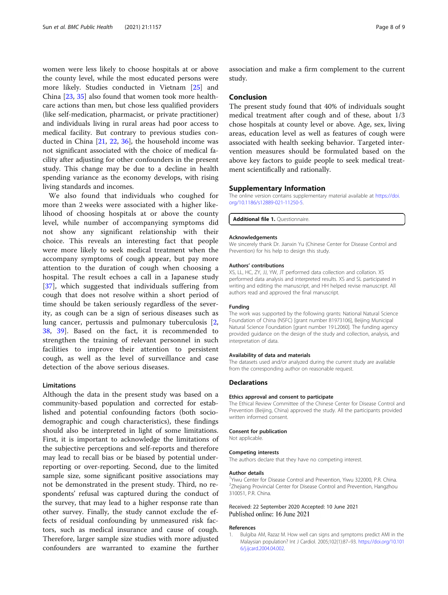<span id="page-7-0"></span>women were less likely to choose hospitals at or above the county level, while the most educated persons were more likely. Studies conducted in Vietnam [\[25](#page-8-0)] and China [\[23](#page-8-0), [35](#page-8-0)] also found that women took more healthcare actions than men, but chose less qualified providers (like self-medication, pharmacist, or private practitioner) and individuals living in rural areas had poor access to medical facility. But contrary to previous studies conducted in China [\[21](#page-8-0), [22,](#page-8-0) [36](#page-8-0)], the household income was not significant associated with the choice of medical facility after adjusting for other confounders in the present study. This change may be due to a decline in health spending variance as the economy develops, with rising living standards and incomes.

We also found that individuals who coughed for more than 2 weeks were associated with a higher likelihood of choosing hospitals at or above the county level, while number of accompanying symptoms did not show any significant relationship with their choice. This reveals an interesting fact that people were more likely to seek medical treatment when the accompany symptoms of cough appear, but pay more attention to the duration of cough when choosing a hospital. The result echoes a call in a Japanese study [[37\]](#page-8-0), which suggested that individuals suffering from cough that does not resolve within a short period of time should be taken seriously regardless of the severity, as cough can be a sign of serious diseases such as lung cancer, pertussis and pulmonary tuberculosis [\[2](#page-8-0), [38,](#page-8-0) [39\]](#page-8-0). Based on the fact, it is recommended to strengthen the training of relevant personnel in such facilities to improve their attention to persistent cough, as well as the level of surveillance and case detection of the above serious diseases.

## Limitations

Although the data in the present study was based on a community-based population and corrected for established and potential confounding factors (both sociodemographic and cough characteristics), these findings should also be interpreted in light of some limitations. First, it is important to acknowledge the limitations of the subjective perceptions and self-reports and therefore may lead to recall bias or be biased by potential underreporting or over-reporting. Second, due to the limited sample size, some significant positive associations may not be demonstrated in the present study. Third, no respondents' refusal was captured during the conduct of the survey, that may lead to a higher response rate than other survey. Finally, the study cannot exclude the effects of residual confounding by unmeasured risk factors, such as medical insurance and cause of cough. Therefore, larger sample size studies with more adjusted confounders are warranted to examine the further

association and make a firm complement to the current study.

#### Conclusion

The present study found that 40% of individuals sought medical treatment after cough and of these, about 1/3 chose hospitals at county level or above. Age, sex, living areas, education level as well as features of cough were associated with health seeking behavior. Targeted intervention measures should be formulated based on the above key factors to guide people to seek medical treatment scientifically and rationally.

#### Supplementary Information

The online version contains supplementary material available at [https://doi.](https://doi.org/10.1186/s12889-021-11250-5) [org/10.1186/s12889-021-11250-5.](https://doi.org/10.1186/s12889-021-11250-5)

Additional file 1. Questionnaire.

#### Acknowledgements

We sincerely thank Dr. Jianxin Yu (Chinese Center for Disease Control and Prevention) for his help to design this study.

#### Authors' contributions

XS, LL, HC, ZY, JJ, YW, JT performed data collection and collation. XS performed data analysis and interpreted results. XS and SL participated in writing and editing the manuscript, and HH helped revise manuscript. All authors read and approved the final manuscript.

#### Funding

The work was supported by the following grants: National Natural Science Foundation of China (NSFC) [grant number 81973106], Beijing Municipal Natural Science Foundation [grant number 19 L2060]. The funding agency provided guidance on the design of the study and collection, analysis, and interpretation of data.

#### Availability of data and materials

The datasets used and/or analyzed during the current study are available from the corresponding author on reasonable request.

#### **Declarations**

#### Ethics approval and consent to participate

The Ethical Review Committee of the Chinese Center for Disease Control and Prevention (Beijing, China) approved the study. All the participants provided written informed consent.

#### Consent for publication

Not applicable.

#### Competing interests

The authors declare that they have no competing interest.

#### Author details

<sup>1</sup>Yiwu Center for Disease Control and Prevention, Yiwu 322000, P.R. China <sup>2</sup>Zhejiang Provincial Center for Disease Control and Prevention, Hangzhou 310051, P.R. China.

#### Received: 22 September 2020 Accepted: 10 June 2021 Published online: 16 June 2021

#### References

1. Bulgiba AM, Razaz M. How well can signs and symptoms predict AMI in the Malaysian population? Int J Cardiol. 2005;102(1):87–93. [https://doi.org/10.101](https://doi.org/10.1016/j.ijcard.2004.04.002) [6/j.ijcard.2004.04.002.](https://doi.org/10.1016/j.ijcard.2004.04.002)